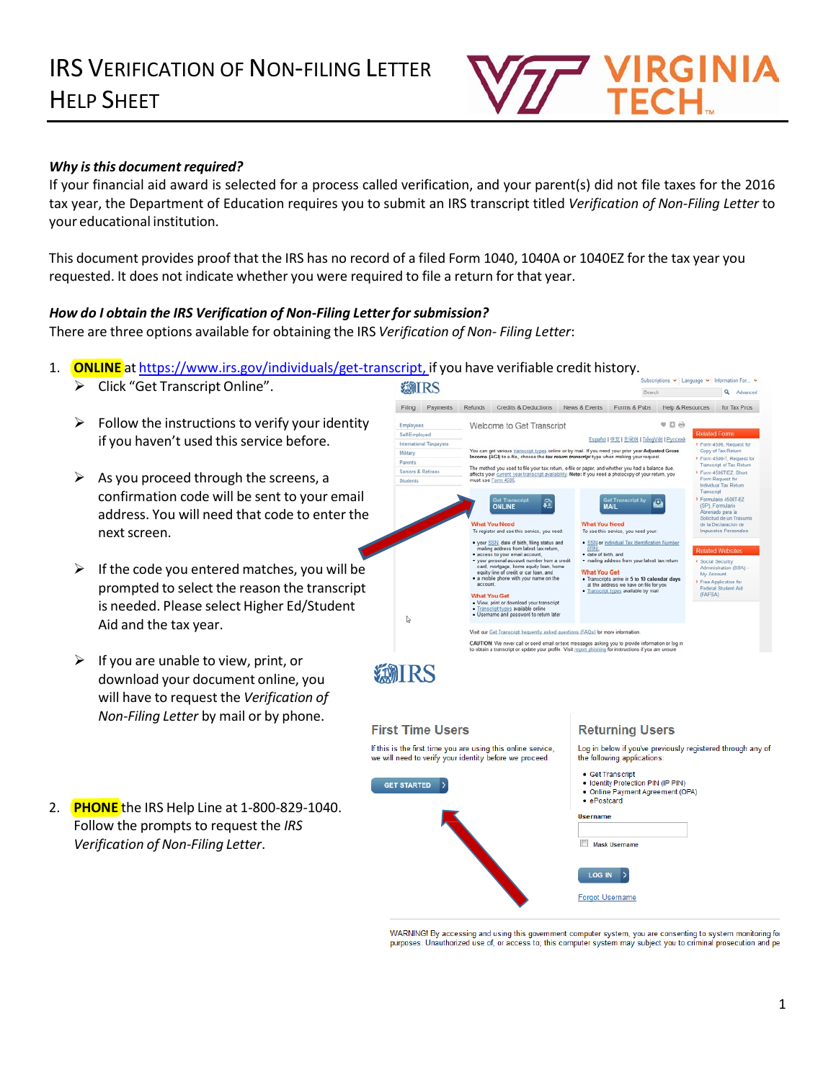

## *Why isthis document required?*

If your financial aid award is selected for a process called verification, and your parent(s) did not file taxes for the 2016 tax year, the Department of Education requires you to submit an IRS transcript titled *Verification of Non‐Filing Letter* to your educational institution.

This document provides proof that the IRS has no record of a filed Form 1040, 1040A or 1040EZ for the tax year you requested. It does not indicate whether you were required to file a return for that year.

## *How do I obtain the IRS Verification of Non‐Filing Letter forsubmission?*

There are three options available for obtaining the IRS *Verification of Non‐ Filing Letter*:

- 1. **ONLINE** at https://www.irs.gov/individuals/get-transcript, if you have verifiable credit history.
	- $\triangleright$  Click "Get Transcript Online".
	- $\triangleright$  Follow the instructions to verify your identity if you haven't used this service before.
	- $\triangleright$  As you proceed through the screens, a confirmation code will be sent to your email address. You will need that code to enter the next screen.
	- $\triangleright$  If the code you entered matches, you will be prompted to select the reason the transcript is needed. Please select Higher Ed/Student Aid and the tax year.
	- $\triangleright$  If you are unable to view, print, or download your document online, you will have to request the *Verification of Non‐Filing Letter* by mail or by phone.
- 2. **PHONE** the IRS Help Line at 1‐800‐829‐1040. Follow the prompts to request the *IRS Verification of Non‐Filing Letter*.



WARNING! By accessing and using this government computer system, you are consenting to system monitoring for purposes. Unauthorized use of, or access to, this computer system may subject you to criminal prosecution and pe